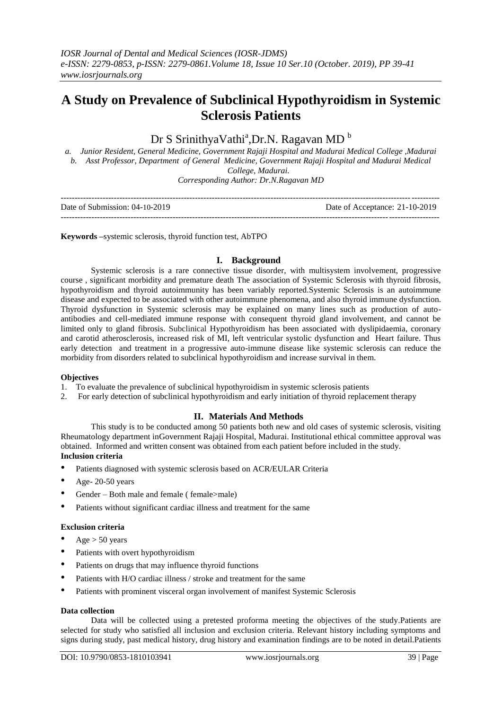# **A Study on Prevalence of Subclinical Hypothyroidism in Systemic Sclerosis Patients**

## Dr S SrinithyaVathi<sup>a</sup>, Dr.N. Ragavan MD <sup>b</sup>

*a. Junior Resident, General Medicine, Government Rajaji Hospital and Madurai Medical College ,Madurai b. Asst Professor, Department of General Medicine, Government Rajaji Hospital and Madurai Medical College, Madurai. Corresponding Author: Dr.N.Ragavan MD*

| Date of Submission: 04-10-2019 | Date of Acceptance: 21-10-2019 |
|--------------------------------|--------------------------------|
|                                |                                |

**Keywords –**systemic sclerosis, thyroid function test, AbTPO

## **I. Background**

Systemic sclerosis is a rare connective tissue disorder, with multisystem involvement, progressive course , significant morbidity and premature death The association of Systemic Sclerosis with thyroid fibrosis, hypothyroidism and thyroid autoimmunity has been variably reported.Systemic Sclerosis is an autoimmune disease and expected to be associated with other autoimmune phenomena, and also thyroid immune dysfunction. Thyroid dysfunction in Systemic sclerosis may be explained on many lines such as production of autoantibodies and cell-mediated immune response with consequent thyroid gland involvement, and cannot be limited only to gland fibrosis. Subclinical Hypothyroidism has been associated with dyslipidaemia, coronary and carotid atherosclerosis, increased risk of MI, left ventricular systolic dysfunction and Heart failure. Thus early detection and treatment in a progressive auto-immune disease like systemic sclerosis can reduce the morbidity from disorders related to subclinical hypothyroidism and increase survival in them.

## **Objectives**

- 1. To evaluate the prevalence of subclinical hypothyroidism in systemic sclerosis patients
- 2. For early detection of subclinical hypothyroidism and early initiation of thyroid replacement therapy

## **II. Materials And Methods**

This study is to be conducted among 50 patients both new and old cases of systemic sclerosis, visiting Rheumatology department inGovernment Rajaji Hospital, Madurai. Institutional ethical committee approval was obtained. Informed and written consent was obtained from each patient before included in the study. **Inclusion criteria** 

- Patients diagnosed with systemic sclerosis based on ACR/EULAR Criteria
- Age-  $20-50$  years
- Gender Both male and female ( female>male)
- Patients without significant cardiac illness and treatment for the same

## **Exclusion criteria**

- Age  $> 50$  years
- Patients with overt hypothyroidism
- Patients on drugs that may influence thyroid functions
- Patients with H/O cardiac illness / stroke and treatment for the same
- Patients with prominent visceral organ involvement of manifest Systemic Sclerosis

## **Data collection**

Data will be collected using a pretested proforma meeting the objectives of the study.Patients are selected for study who satisfied all inclusion and exclusion criteria. Relevant history including symptoms and signs during study, past medical history, drug history and examination findings are to be noted in detail.Patients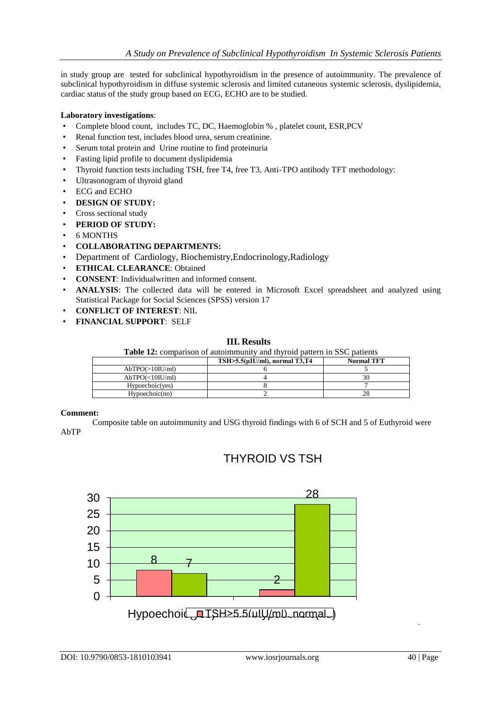in study group are tested for subclinical hypothyroidism in the presence of autoimmunity. The prevalence of subclinical hypothyroidism in diffuse systemic sclerosis and limited cutaneous systemic sclerosis, dyslipidemia, cardiac status of the study group based on ECG, ECHO are to be studied.

## **Laboratory investigations**:

- Complete blood count, includes TC, DC, Haemoglobin %, platelet count, ESR, PCV
- Renal function test, includes blood urea, serum creatinine.
- Serum total protein and Urine routine to find proteinuria
- Fasting lipid profile to document dyslipidemia
- Thyroid function tests including TSH, free T4, free T3, Anti-TPO antibody TFT methodology:
- Ultrasonogram of thyroid gland
- ECG and ECHO
- **DESIGN OF STUDY:**
- Cross sectional study
- **PERIOD OF STUDY:**
- 6 MONTHS
- **COLLABORATING DEPARTMENTS:**
- Department of Cardiology, Biochemistry,Endocrinology,Radiology
- **ETHICAL CLEARANCE**: Obtained
- **CONSENT**: Individual written and informed consent.
- ANALYSIS: The collected data will be entered in Microsoft Excel spreadsheet and analyzed using Statistical Package for Social Sciences (SPSS) version 17
- **CONFLICT OF INTEREST**: NIL
- **FINANCIAL SUPPORT**: SELF

## **III. Results**

|  |  | Table 12: comparison of autoimmunity and thyroid pattern in SSC patients |  |  |  |
|--|--|--------------------------------------------------------------------------|--|--|--|
|--|--|--------------------------------------------------------------------------|--|--|--|

|                 | $TSH > 5.5(\mu I U/ml)$ , normal T3,T4 | <b>Normal TFT</b> |
|-----------------|----------------------------------------|-------------------|
| AbTPO(>10IU/ml) |                                        |                   |
| AbTPO(<10IU/ml) |                                        |                   |
| Hypoechoic(yes) |                                        |                   |
| Hvpoechoic(no)  |                                        | 28                |

## **Comment:**

 Composite table on autoimmunity and USG thyroid findings with 6 of SCH and 5 of Euthyroid were AbTP



## THYROID VS TSH

.